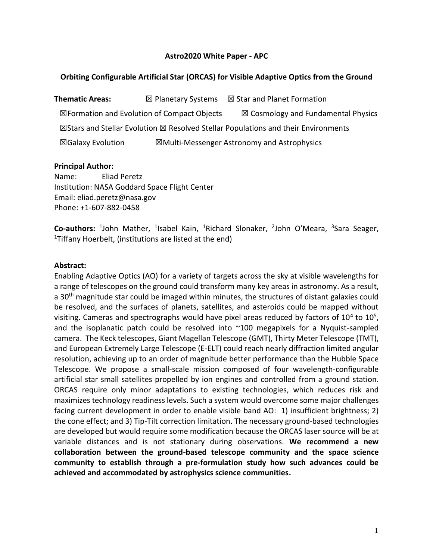#### **Astro2020 White Paper - APC**

#### **Orbiting Configurable Artificial Star (ORCAS) for Visible Adaptive Optics from the Ground**

**Thematic Areas:** ☒ Planetary Systems ☒ Star and Planet Formation  $\boxtimes$  Formation and Evolution of Compact Objects  $\boxtimes$  Cosmology and Fundamental Physics  $\boxtimes$ Stars and Stellar Evolution  $\boxtimes$  Resolved Stellar Populations and their Environments ☒Galaxy Evolution ☒Multi-Messenger Astronomy and Astrophysics

#### **Principal Author:**

Name: Eliad Peretz Institution: NASA Goddard Space Flight Center Email: eliad.peretz@nasa.gov Phone: +1-607-882-0458

Co-authors: <sup>1</sup>John Mather, <sup>1</sup>Isabel Kain, <sup>1</sup>Richard Slonaker, <sup>2</sup>John O'Meara, <sup>3</sup>Sara Seager, <sup>1</sup>Tiffany Hoerbelt, (institutions are listed at the end)

#### **Abstract:**

Enabling Adaptive Optics (AO) for a variety of targets across the sky at visible wavelengths for a range of telescopes on the ground could transform many key areas in astronomy. As a result, a 30<sup>th</sup> magnitude star could be imaged within minutes, the structures of distant galaxies could be resolved, and the surfaces of planets, satellites, and asteroids could be mapped without visiting. Cameras and spectrographs would have pixel areas reduced by factors of  $10^4$  to  $10^5$ , and the isoplanatic patch could be resolved into  $\sim$ 100 megapixels for a Nyquist-sampled camera. The Keck telescopes, Giant Magellan Telescope (GMT), Thirty Meter Telescope (TMT), and European Extremely Large Telescope (E-ELT) could reach nearly diffraction limited angular resolution, achieving up to an order of magnitude better performance than the Hubble Space Telescope. We propose a small-scale mission composed of four wavelength-configurable artificial star small satellites propelled by ion engines and controlled from a ground station. ORCAS require only minor adaptations to existing technologies, which reduces risk and maximizes technology readiness levels. Such a system would overcome some major challenges facing current development in order to enable visible band AO: 1) insufficient brightness; 2) the cone effect; and 3) Tip-Tilt correction limitation. The necessary ground-based technologies are developed but would require some modification because the ORCAS laser source will be at variable distances and is not stationary during observations. **We recommend a new collaboration between the ground-based telescope community and the space science community to establish through a pre-formulation study how such advances could be achieved and accommodated by astrophysics science communities.**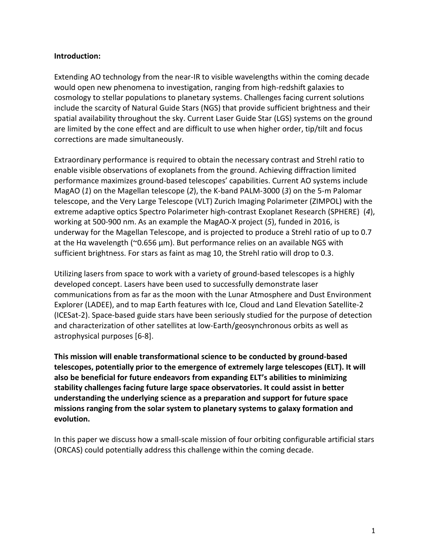## **Introduction:**

Extending AO technology from the near-IR to visible wavelengths within the coming decade would open new phenomena to investigation, ranging from high-redshift galaxies to cosmology to stellar populations to planetary systems. Challenges facing current solutions include the scarcity of Natural Guide Stars (NGS) that provide sufficient brightness and their spatial availability throughout the sky. Current Laser Guide Star (LGS) systems on the ground are limited by the cone effect and are difficult to use when higher order, tip/tilt and focus corrections are made simultaneously.

Extraordinary performance is required to obtain the necessary contrast and Strehl ratio to enable visible observations of exoplanets from the ground. Achieving diffraction limited performance maximizes ground-based telescopes' capabilities. Current AO systems include MagAO (*1*) on the Magellan telescope (*2*), the K-band PALM-3000 (*3*) on the 5-m Palomar telescope, and the Very Large Telescope (VLT) Zurich Imaging Polarimeter (ZIMPOL) with the extreme adaptive optics Spectro Polarimeter high-contrast Exoplanet Research (SPHERE) (*4*), working at 500-900 nm. As an example the MagAO-X project (*5*), funded in 2016, is underway for the Magellan Telescope, and is projected to produce a Strehl ratio of up to 0.7 at the Hα wavelength (~0.656 µm). But performance relies on an available NGS with sufficient brightness. For stars as faint as mag 10, the Strehl ratio will drop to 0.3.

Utilizing lasers from space to work with a variety of ground-based telescopes is a highly developed concept. Lasers have been used to successfully demonstrate laser communications from as far as the moon with the Lunar Atmosphere and Dust Environment Explorer (LADEE), and to map Earth features with Ice, Cloud and Land Elevation Satellite-2 (ICESat-2). Space-based guide stars have been seriously studied for the purpose of detection and characterization of other satellites at low-Earth/geosynchronous orbits as well as astrophysical purposes [6-8].

**This mission will enable transformational science to be conducted by ground-based telescopes, potentially prior to the emergence of extremely large telescopes (ELT). It will also be beneficial for future endeavors from expanding ELT's abilities to minimizing stability challenges facing future large space observatories. It could assist in better understanding the underlying science as a preparation and support for future space missions ranging from the solar system to planetary systems to galaxy formation and evolution.**

In this paper we discuss how a small-scale mission of four orbiting configurable artificial stars (ORCAS) could potentially address this challenge within the coming decade.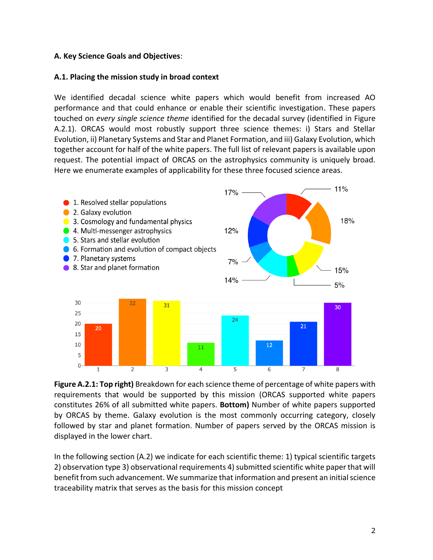## **A. Key Science Goals and Objectives**:

#### **A.1. Placing the mission study in broad context**

We identified decadal science white papers which would benefit from increased AO performance and that could enhance or enable their scientific investigation. These papers touched on *every single science theme* identified for the decadal survey (identified in Figure A.2.1). ORCAS would most robustly support three science themes: i) Stars and Stellar Evolution, ii) Planetary Systems and Star and Planet Formation, and iii) Galaxy Evolution, which together account for half of the white papers. The full list of relevant papers is available upon request. The potential impact of ORCAS on the astrophysics community is uniquely broad. Here we enumerate examples of applicability for these three focused science areas.



**Figure A.2.1: Top right)** Breakdown for each science theme of percentage of white papers with requirements that would be supported by this mission (ORCAS supported white papers constitutes 26% of all submitted white papers. **Bottom)** Number of white papers supported by ORCAS by theme. Galaxy evolution is the most commonly occurring category, closely followed by star and planet formation. Number of papers served by the ORCAS mission is displayed in the lower chart.

In the following section (A.2) we indicate for each scientific theme: 1) typical scientific targets 2) observation type 3) observational requirements 4) submitted scientific white paper that will benefit from such advancement. We summarize that information and present an initial science traceability matrix that serves as the basis for this mission concept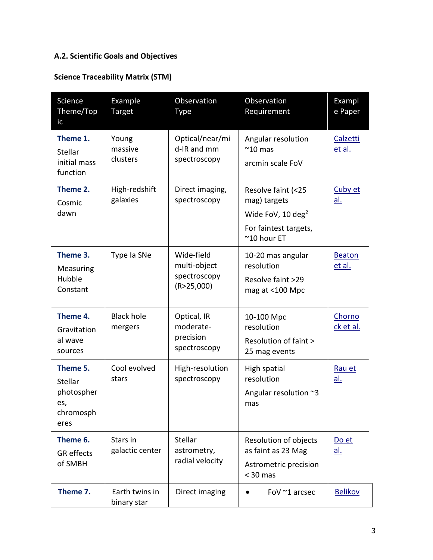# **A.2. Scientific Goals and Objectives**

# **Science Traceability Matrix (STM)**

| Science<br>Theme/Top<br>ic                                    | Example<br>Target             | Observation<br><b>Type</b>                               | Observation<br>Requirement                                                                                           | Exampl<br>e Paper       |
|---------------------------------------------------------------|-------------------------------|----------------------------------------------------------|----------------------------------------------------------------------------------------------------------------------|-------------------------|
| Theme 1.<br>Stellar<br>initial mass<br>function               | Young<br>massive<br>clusters  | Optical/near/mi<br>d-IR and mm<br>spectroscopy           | Angular resolution<br>$^{\sim}$ 10 mas<br>arcmin scale FoV                                                           | Calzetti<br>et al.      |
| Theme 2.<br>Cosmic<br>dawn                                    | High-redshift<br>galaxies     | Direct imaging,<br>spectroscopy                          | Resolve faint (<25<br>mag) targets<br>Wide FoV, 10 deg <sup>2</sup><br>For faintest targets,<br>$^{\sim}$ 10 hour ET | Cuby et<br><u>al.</u>   |
| Theme 3.<br>Measuring<br>Hubble<br>Constant                   | Type Ia SNe                   | Wide-field<br>multi-object<br>spectroscopy<br>(R>25,000) | 10-20 mas angular<br>resolution<br>Resolve faint >29<br>mag at <100 Mpc                                              | <b>Beaton</b><br>et al. |
| Theme 4.<br>Gravitation<br>al wave<br>sources                 | <b>Black hole</b><br>mergers  | Optical, IR<br>moderate-<br>precision<br>spectroscopy    | 10-100 Mpc<br>resolution<br>Resolution of faint ><br>25 mag events                                                   | Chorno<br>ck et al.     |
| Theme 5.<br>Stellar<br>photospher<br>es,<br>chromosph<br>eres | Cool evolved<br>stars         | High-resolution<br>spectroscopy                          | High spatial<br>resolution<br>Angular resolution $\approx$ 3<br>mas                                                  | Rau et<br><u>al.</u>    |
| Theme 6.<br><b>GR</b> effects<br>of SMBH                      | Stars in<br>galactic center   | Stellar<br>astrometry,<br>radial velocity                | Resolution of objects<br>as faint as 23 Mag<br>Astrometric precision<br>$<$ 30 mas                                   | Do et<br><u>al.</u>     |
| Theme 7.                                                      | Earth twins in<br>binary star | Direct imaging                                           | FoV ~1 arcsec                                                                                                        | <b>Belikov</b>          |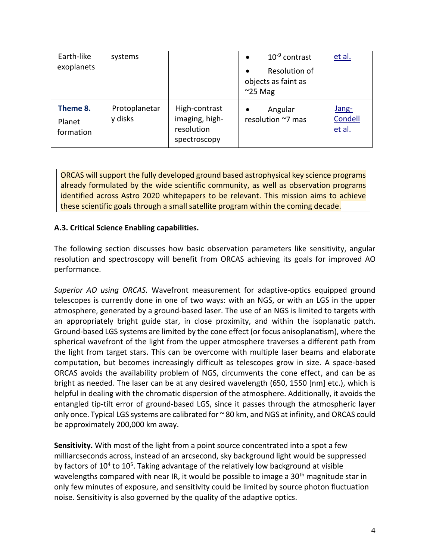| Earth-like<br>exoplanets        | systems                  |                                                               | $10^{-9}$ contrast<br>$\bullet$                                       | et al.                     |
|---------------------------------|--------------------------|---------------------------------------------------------------|-----------------------------------------------------------------------|----------------------------|
|                                 |                          |                                                               | Resolution of<br>$\bullet$<br>objects as faint as<br>$\approx$ 25 Mag |                            |
| Theme 8.<br>Planet<br>formation | Protoplanetar<br>y disks | High-contrast<br>imaging, high-<br>resolution<br>spectroscopy | Angular<br>resolution ~7 mas                                          | Jang-<br>Condell<br>et al. |

ORCAS will support the fully developed ground based astrophysical key science programs already formulated by the wide scientific community, as well as observation programs identified across Astro 2020 whitepapers to be relevant. This mission aims to achieve these scientific goals through a small satellite program within the coming decade.

## **A.3. Critical Science Enabling capabilities.**

The following section discusses how basic observation parameters like sensitivity, angular resolution and spectroscopy will benefit from ORCAS achieving its goals for improved AO performance.

*Superior AO using ORCAS.* Wavefront measurement for adaptive-optics equipped ground telescopes is currently done in one of two ways: with an NGS, or with an LGS in the upper atmosphere, generated by a ground-based laser. The use of an NGS is limited to targets with an appropriately bright guide star, in close proximity, and within the isoplanatic patch. Ground-based LGS systems are limited by the cone effect (or focus anisoplanatism), where the spherical wavefront of the light from the upper atmosphere traverses a different path from the light from target stars. This can be overcome with multiple laser beams and elaborate computation, but becomes increasingly difficult as telescopes grow in size. A space-based ORCAS avoids the availability problem of NGS, circumvents the cone effect, and can be as bright as needed. The laser can be at any desired wavelength (650, 1550 [nm] etc.), which is helpful in dealing with the chromatic dispersion of the atmosphere. Additionally, it avoids the entangled tip-tilt error of ground-based LGS, since it passes through the atmospheric layer only once. Typical LGS systems are calibrated for ~ 80 km, and NGS at infinity, and ORCAS could be approximately 200,000 km away.

**Sensitivity.** With most of the light from a point source concentrated into a spot a few milliarcseconds across, instead of an arcsecond, sky background light would be suppressed by factors of 10<sup>4</sup> to 10<sup>5</sup>. Taking advantage of the relatively low background at visible wavelengths compared with near IR, it would be possible to image a  $30<sup>th</sup>$  magnitude star in only few minutes of exposure, and sensitivity could be limited by source photon fluctuation noise. Sensitivity is also governed by the quality of the adaptive optics.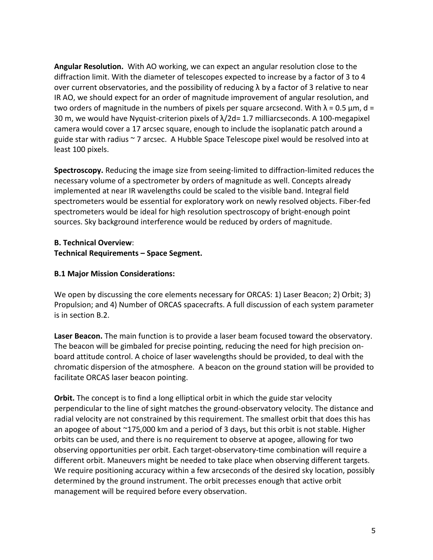**Angular Resolution.** With AO working, we can expect an angular resolution close to the diffraction limit. With the diameter of telescopes expected to increase by a factor of 3 to 4 over current observatories, and the possibility of reducing  $\lambda$  by a factor of 3 relative to near IR AO, we should expect for an order of magnitude improvement of angular resolution, and two orders of magnitude in the numbers of pixels per square arcsecond. With  $\lambda$  = 0.5  $\mu$ m, d = 30 m, we would have Nyquist-criterion pixels of λ/2d= 1.7 milliarcseconds. A 100-megapixel camera would cover a 17 arcsec square, enough to include the isoplanatic patch around a guide star with radius ~ 7 arcsec. A Hubble Space Telescope pixel would be resolved into at least 100 pixels.

**Spectroscopy.** Reducing the image size from seeing-limited to diffraction-limited reduces the necessary volume of a spectrometer by orders of magnitude as well. Concepts already implemented at near IR wavelengths could be scaled to the visible band. Integral field spectrometers would be essential for exploratory work on newly resolved objects. Fiber-fed spectrometers would be ideal for high resolution spectroscopy of bright-enough point sources. Sky background interference would be reduced by orders of magnitude.

## **B. Technical Overview**: **Technical Requirements – Space Segment.**

## **B.1 Major Mission Considerations:**

We open by discussing the core elements necessary for ORCAS: 1) Laser Beacon; 2) Orbit; 3) Propulsion; and 4) Number of ORCAS spacecrafts. A full discussion of each system parameter is in section B.2.

**Laser Beacon.** The main function is to provide a laser beam focused toward the observatory. The beacon will be gimbaled for precise pointing, reducing the need for high precision onboard attitude control. A choice of laser wavelengths should be provided, to deal with the chromatic dispersion of the atmosphere. A beacon on the ground station will be provided to facilitate ORCAS laser beacon pointing.

**Orbit.** The concept is to find a long elliptical orbit in which the guide star velocity perpendicular to the line of sight matches the ground-observatory velocity. The distance and radial velocity are not constrained by this requirement. The smallest orbit that does this has an apogee of about ~175,000 km and a period of 3 days, but this orbit is not stable. Higher orbits can be used, and there is no requirement to observe at apogee, allowing for two observing opportunities per orbit. Each target-observatory-time combination will require a different orbit. Maneuvers might be needed to take place when observing different targets. We require positioning accuracy within a few arcseconds of the desired sky location, possibly determined by the ground instrument. The orbit precesses enough that active orbit management will be required before every observation.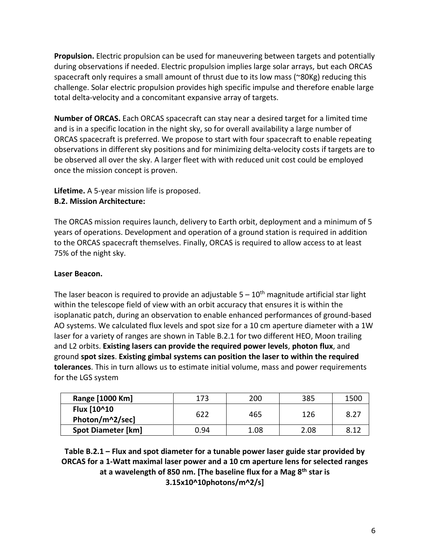**Propulsion.** Electric propulsion can be used for maneuvering between targets and potentially during observations if needed. Electric propulsion implies large solar arrays, but each ORCAS spacecraft only requires a small amount of thrust due to its low mass (~80Kg) reducing this challenge. Solar electric propulsion provides high specific impulse and therefore enable large total delta-velocity and a concomitant expansive array of targets.

**Number of ORCAS.** Each ORCAS spacecraft can stay near a desired target for a limited time and is in a specific location in the night sky, so for overall availability a large number of ORCAS spacecraft is preferred. We propose to start with four spacecraft to enable repeating observations in different sky positions and for minimizing delta-velocity costs if targets are to be observed all over the sky. A larger fleet with with reduced unit cost could be employed once the mission concept is proven.

# **Lifetime.** A 5-year mission life is proposed.

## **B.2. Mission Architecture:**

The ORCAS mission requires launch, delivery to Earth orbit, deployment and a minimum of 5 years of operations. Development and operation of a ground station is required in addition to the ORCAS spacecraft themselves. Finally, ORCAS is required to allow access to at least 75% of the night sky.

## **Laser Beacon.**

The laser beacon is required to provide an adjustable  $5-10<sup>th</sup>$  magnitude artificial star light within the telescope field of view with an orbit accuracy that ensures it is within the isoplanatic patch, during an observation to enable enhanced performances of ground-based AO systems. We calculated flux levels and spot size for a 10 cm aperture diameter with a 1W laser for a variety of ranges are shown in Table B.2.1 for two different HEO, Moon trailing and L2 orbits. **Existing lasers can provide the required power levels**, **photon flux**, and ground **spot sizes**. **Existing gimbal systems can position the laser to within the required tolerances**. This in turn allows us to estimate initial volume, mass and power requirements for the LGS system

| Range [1000 Km]                | 173  | 200  | 385  | 1500 |
|--------------------------------|------|------|------|------|
| Flux [10^10<br>Photon/m^2/sec] | 622  | 465  | 126  | 8.27 |
| <b>Spot Diameter [km]</b>      | 0.94 | 1.08 | 2.08 | 8.12 |

**Table B.2.1 – Flux and spot diameter for a tunable power laser guide star provided by ORCAS for a 1-Watt maximal laser power and a 10 cm aperture lens for selected ranges at a wavelength of 850 nm. [The baseline flux for a Mag 8th star is 3.15x10^10photons/m^2/s]**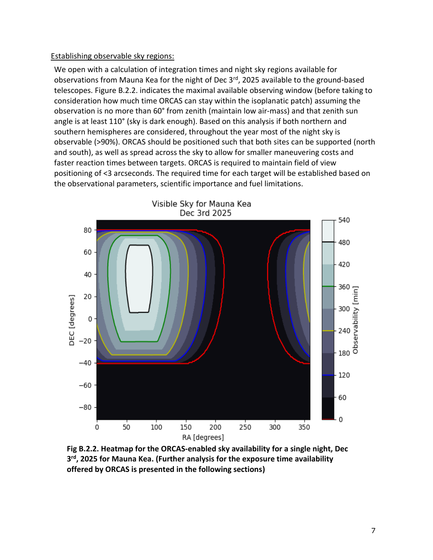#### Establishing observable sky regions:

We open with a calculation of integration times and night sky regions available for observations from Mauna Kea for the night of Dec 3<sup>rd</sup>, 2025 available to the ground-based telescopes. Figure B.2.2. indicates the maximal available observing window (before taking to consideration how much time ORCAS can stay within the isoplanatic patch) assuming the observation is no more than 60° from zenith (maintain low air-mass) and that zenith sun angle is at least 110° (sky is dark enough). Based on this analysis if both northern and southern hemispheres are considered, throughout the year most of the night sky is observable (>90%). ORCAS should be positioned such that both sites can be supported (north and south), as well as spread across the sky to allow for smaller maneuvering costs and faster reaction times between targets. ORCAS is required to maintain field of view positioning of <3 arcseconds. The required time for each target will be established based on the observational parameters, scientific importance and fuel limitations.



**Fig B.2.2. Heatmap for the ORCAS-enabled sky availability for a single night, Dec 3 rd, 2025 for Mauna Kea. (Further analysis for the exposure time availability offered by ORCAS is presented in the following sections)**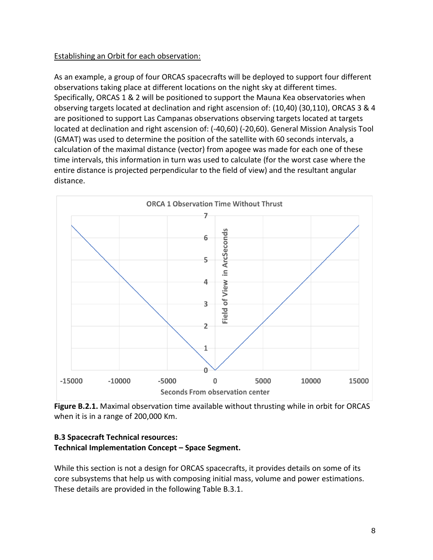## Establishing an Orbit for each observation:

As an example, a group of four ORCAS spacecrafts will be deployed to support four different observations taking place at different locations on the night sky at different times. Specifically, ORCAS 1 & 2 will be positioned to support the Mauna Kea observatories when observing targets located at declination and right ascension of: (10,40) (30,110), ORCAS 3 & 4 are positioned to support Las Campanas observations observing targets located at targets located at declination and right ascension of: (-40,60) (-20,60). General Mission Analysis Tool (GMAT) was used to determine the position of the satellite with 60 seconds intervals, a calculation of the maximal distance (vector) from apogee was made for each one of these time intervals, this information in turn was used to calculate (for the worst case where the entire distance is projected perpendicular to the field of view) and the resultant angular distance.



**Figure B.2.1.** Maximal observation time available without thrusting while in orbit for ORCAS when it is in a range of 200,000 Km.

## **B.3 Spacecraft Technical resources: Technical Implementation Concept – Space Segment.**

While this section is not a design for ORCAS spacecrafts, it provides details on some of its core subsystems that help us with composing initial mass, volume and power estimations. These details are provided in the following Table B.3.1.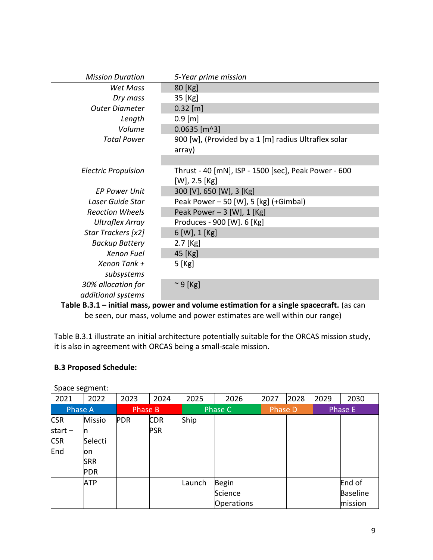| <b>Mission Duration</b>                  | 5-Year prime mission                                                       |
|------------------------------------------|----------------------------------------------------------------------------|
| Wet Mass                                 | 80 [Kg]                                                                    |
| Dry mass                                 | 35 [Kg]                                                                    |
| <b>Outer Diameter</b>                    | $0.32$ [m]                                                                 |
| Length                                   | $0.9$ [m]                                                                  |
| Volume                                   | $0.0635$ [m^3]                                                             |
| <b>Total Power</b>                       | 900 [w], (Provided by a 1 [m] radius Ultraflex solar<br>array)             |
|                                          |                                                                            |
| <b>Electric Propulsion</b>               | Thrust - 40 [mN], ISP - 1500 [sec], Peak Power - 600<br>$[W]$ , 2.5 $[Kg]$ |
| <b>EP Power Unit</b>                     | 300 [V], 650 [W], 3 [Kg]                                                   |
| Laser Guide Star                         |                                                                            |
|                                          | Peak Power – 50 [W], 5 [kg] (+Gimbal)                                      |
| <b>Reaction Wheels</b>                   | Peak Power $-3$ [W], 1 [Kg]                                                |
| <b>Ultraflex Array</b>                   | Produces - 900 [W]. 6 [Kg]                                                 |
| Star Trackers [x2]                       | 6 [W], 1 [Kg]                                                              |
| <b>Backup Battery</b>                    | $2.7$ [Kg]                                                                 |
| <b>Xenon Fuel</b>                        | 45 [Kg]                                                                    |
| Xenon Tank +                             | 5 [Kg]                                                                     |
| subsystems                               |                                                                            |
| 30% allocation for<br>additional systems | $\sim$ 9 [Kg]                                                              |
|                                          |                                                                            |

**Table B.3.1 – initial mass, power and volume estimation for a single spacecraft.** (as can be seen, our mass, volume and power estimates are well within our range)

Table B.3.1 illustrate an initial architecture potentially suitable for the ORCAS mission study, it is also in agreement with ORCAS being a small-scale mission.

## **B.3 Proposed Schedule:**

| - - - - - - - o |               |            |            |        |                   |      |         |      |                 |
|-----------------|---------------|------------|------------|--------|-------------------|------|---------|------|-----------------|
| 2021            | 2022          | 2023       | 2024       | 2025   | 2026              | 2027 | 2028    | 2029 | 2030            |
| <b>Phase A</b>  |               |            | Phase B    |        | Phase C           |      | Phase D |      | Phase E         |
| <b>CSR</b>      | <b>Missio</b> | <b>PDR</b> | <b>CDR</b> | Ship   |                   |      |         |      |                 |
| start $-$       |               |            | <b>PSR</b> |        |                   |      |         |      |                 |
| <b>CSR</b>      | Selecti       |            |            |        |                   |      |         |      |                 |
| End             | on            |            |            |        |                   |      |         |      |                 |
|                 | <b>SRR</b>    |            |            |        |                   |      |         |      |                 |
|                 | <b>PDR</b>    |            |            |        |                   |      |         |      |                 |
|                 | <b>ATP</b>    |            |            | Launch | Begin             |      |         |      | End of          |
|                 |               |            |            |        | Science           |      |         |      | <b>Baseline</b> |
|                 |               |            |            |        | <b>Operations</b> |      |         |      | mission         |

Space segment: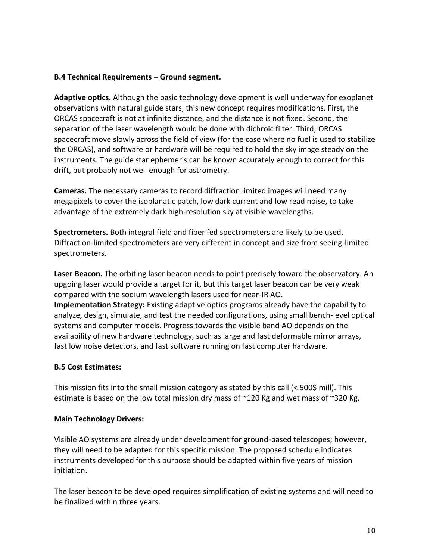## **B.4 Technical Requirements – Ground segment.**

**Adaptive optics.** Although the basic technology development is well underway for exoplanet observations with natural guide stars, this new concept requires modifications. First, the ORCAS spacecraft is not at infinite distance, and the distance is not fixed. Second, the separation of the laser wavelength would be done with dichroic filter. Third, ORCAS spacecraft move slowly across the field of view (for the case where no fuel is used to stabilize the ORCAS), and software or hardware will be required to hold the sky image steady on the instruments. The guide star ephemeris can be known accurately enough to correct for this drift, but probably not well enough for astrometry.

**Cameras.** The necessary cameras to record diffraction limited images will need many megapixels to cover the isoplanatic patch, low dark current and low read noise, to take advantage of the extremely dark high-resolution sky at visible wavelengths.

**Spectrometers.** Both integral field and fiber fed spectrometers are likely to be used. Diffraction-limited spectrometers are very different in concept and size from seeing-limited spectrometers.

**Laser Beacon.** The orbiting laser beacon needs to point precisely toward the observatory. An upgoing laser would provide a target for it, but this target laser beacon can be very weak compared with the sodium wavelength lasers used for near-IR AO. **Implementation Strategy:** Existing adaptive optics programs already have the capability to analyze, design, simulate, and test the needed configurations, using small bench-level optical systems and computer models. Progress towards the visible band AO depends on the availability of new hardware technology, such as large and fast deformable mirror arrays, fast low noise detectors, and fast software running on fast computer hardware.

## **B.5 Cost Estimates:**

This mission fits into the small mission category as stated by this call (< 500\$ mill). This estimate is based on the low total mission dry mass of  $\sim$ 120 Kg and wet mass of  $\sim$ 320 Kg.

## **Main Technology Drivers:**

Visible AO systems are already under development for ground-based telescopes; however, they will need to be adapted for this specific mission. The proposed schedule indicates instruments developed for this purpose should be adapted within five years of mission initiation.

The laser beacon to be developed requires simplification of existing systems and will need to be finalized within three years.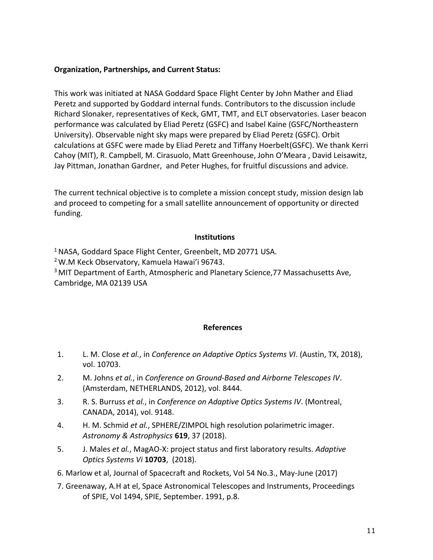## **Organization, Partnerships, and Current Status:**

This work was initiated at NASA Goddard Space Flight Center by John Mather and Eliad Peretz and supported by Goddard internal funds. Contributors to the discussion include Richard Slonaker, representatives of Keck, GMT, TMT, and ELT observatories. Laser beacon performance was calculated by Eliad Peretz (GSFC) and Isabel Kaine (GSFC/Northeastern University). Observable night sky maps were prepared by Eliad Peretz (GSFC). Orbit calculations at GSFC were made by Eliad Peretz and Tiffany Hoerbelt(GSFC). We thank Kerri Cahoy (MIT), R. Campbell, M. Cirasuolo, Matt Greenhouse, John O'Meara , David Leisawitz, Jay Pittman, Jonathan Gardner, and Peter Hughes, for fruitful discussions and advice.

The current technical objective is to complete a mission concept study, mission design lab and proceed to competing for a small satellite announcement of opportunity or directed funding.

#### **Institutions**

<sup>1</sup> NASA, Goddard Space Flight Center, Greenbelt, MD 20771 USA. <sup>2</sup> W.M Keck Observatory, Kamuela Hawai'i 96743. <sup>3</sup> MIT Department of Earth, Atmospheric and Planetary Science, 77 Massachusetts Ave, Cambridge, MA 02139 USA

#### **References**

- 1. L. M. Close *et al.*, in *Conference on Adaptive Optics Systems VI*. (Austin, TX, 2018), vol. 10703.
- 2. M. Johns *et al.*, in *Conference on Ground-Based and Airborne Telescopes IV*. (Amsterdam, NETHERLANDS, 2012), vol. 8444.
- 3. R. S. Burruss *et al.*, in *Conference on Adaptive Optics Systems IV*. (Montreal, CANADA, 2014), vol. 9148.
- 4. H. M. Schmid *et al.*, SPHERE/ZIMPOL high resolution polarimetric imager. *Astronomy & Astrophysics* **619**, 37 (2018).
- 5. J. Males *et al.*, MagAO-X: project status and first laboratory results. *Adaptive Optics Systems Vi* **10703**, (2018).
- 6. Marlow et al, Journal of Spacecraft and Rockets, Vol 54 No.3., May-June (2017)
- 7. Greenaway, A.H at el, Space Astronomical Telescopes and Instruments, Proceedings of SPIE, Vol 1494, SPIE, September. 1991, p.8.